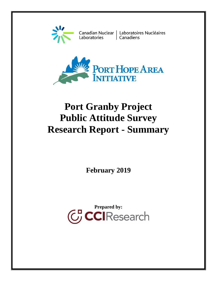

Canadian Nuclear | Laboratoires Nucléaires<br>Laboratories | Canadiens



# **Port Granby Project Public Attitude Survey Research Report - Summary**

**February 2019**

**CCI** Research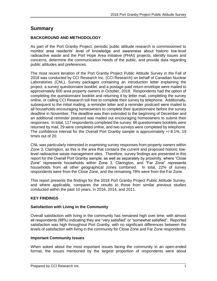# **Summary**

## **BACKGROUND AND METHODOLOGY**

As part of the Port Granby Project, periodic public attitude research is commissioned to monitor area residents' level of knowledge and awareness about historic low-level radioactive waste and the Port Hope Area Initiative (PHAI) projects, identify issues and concerns, determine the communication needs of the public, and provide data regarding public attitudes and preferences.

The most recent iteration of the Port Granby Project Public Attitude Survey in the Fall of 2018 was conducted by CCI Research Inc. (CCI Research) on behalf of Canadian Nuclear Laboratories (CNL). Survey packages containing an introduction letter explaining the project, a survey questionnaire booklet, and a postage-paid return envelope were mailed to approximately 600 area property owners in October, 2018. Respondents had the option of completing the questionnaire booklet and returning it by letter mail, completing the survey online, or calling CCI Research toll-free to complete their survey by telephone. Additionally, subsequent to the initial mailing, a reminder letter and a reminder postcard were mailed to all households encouraging homeowners to complete their questionnaire before the survey deadline in November. The deadline was then extended to the beginning of December and an additional reminder postcard was mailed out encouraging homeowners to submit their responses. In total, 117 respondents completed the survey: 86 questionnaire booklets were returned by mail, 29 were completed online, and two surveys were completed by telephone. The confidence interval for the Overall Port Granby sample is approximately +/-8.1%, 19 times out of 20.

CNL was particularly interested in examining survey responses from property owners within Zone 3, Clarington, as this is the area that contains the current and proposed historic lowlevel radioactive waste management sites. Therefore, survey findings are presented in this report for the Overall Port Granby sample, as well as separately by proximity, where "Close Zone" represents households within Zone 3, Clarington, and "Far Zone" represents households from all other geographical zones combined. In total, 22% of survey respondents were from the Close Zone, and the remaining 78% were from the Far Zone.

This report presents the findings for the 2018 Port Granby Project Public Attitude Survey, and where applicable, compares the results to those from similar previous studies conducted within the past 10 years, in 2016, 2014, and 2011.

# **KEY FINDINGS**

## **Satisfaction with Living in the Community**

Overall satisfaction with living in the community has remained high over time, with almost all respondents (98%) indicating they are "very satisfied" or "somewhat satisfied". Reported satisfaction was high throughout Port Granby, with no significant differences between the levels of satisfaction with living in the community for Close Zone and Far Zone respondents.

#### **Important Community Issues**

When asked about the most important issues facing the community in an open-ended format, the issues mentioned by the largest proportion of respondents were about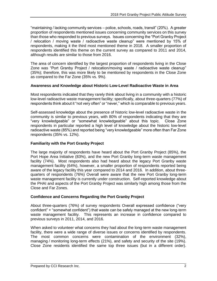"maintaining / lacking community services – police, schools, roads, transit" (20%). A greater proportion of respondents mentioned issues concerning community services on this survey than those who responded to previous surveys. Issues concerning the "Port Granby Project / relocation / moving waste / radioactive waste cleanup" were mentioned by 15% of respondents, making it the third most mentioned theme in 2018. A smaller proportion of respondents identified this theme on the current survey as compared to 2011 and 2014, although results are similar to those from 2016.

The area of concern identified by the largest proportion of respondents living in the Close Zone was "Port Granby Project / relocation/moving waste / radioactive waste cleanup" (35%); therefore, this was more likely to be mentioned by respondents in the Close Zone as compared to the Far Zone (35% vs. 9%).

#### **Awareness and Knowledge about Historic Low-Level Radioactive Waste in Area**

Most respondents indicated that they rarely think about living in a community with a historic low-level radioactive waste management facility; specifically, about three-quarters (77%) of respondents think about it "not very often" or "never," which is comparable to previous years.

Self-assessed knowledge about the presence of historic low-level radioactive waste in the community is similar to previous years, with 80% of respondents indicating that they are "very knowledgeable" or "somewhat knowledgeable" about this topic. Close Zone respondents in particular reported a high level of knowledge about the historic low-level radioactive waste (85%) and reported being "very knowledgeable" more often than Far Zone respondents (35% vs. 12%).

#### **Familiarity with the Port Granby Project**

The large majority of respondents have heard about the Port Granby Project (85%), the Port Hope Area Initiative (83%), and the new Port Granby long-term waste management facility (74%). Most respondents also had heard about the legacy Port Granby waste management facility (64%), however, a smaller proportion of respondents reported being aware of the legacy facility this year compared to 2014 and 2016. In addition, about threequarters of respondents (76%) Overall were aware that the new Port Granby long-term waste management facility is currently under construction. Self-reported knowledge about the PHAI and aspects of the Port Granby Project was similarly high among those from the Close and Far Zones.

#### **Confidence and Concerns Regarding the Port Granby Project**

About three-quarters (76%) of survey respondents Overall expressed confidence ("very confident" + "somewhat confident") that waste can be safely managed at the new long-term waste management facility. This represents an increase in confidence compared to previous surveys in 2011, 2014, and 2016.

When asked to volunteer what concerns they had about the long-term waste management facility, there were a wide range of diverse issues or concerns identified by respondents. The most common concerns were contamination of the environment (32%), managing / monitoring long-term effects (21%), and safety and security of the site (19%). Close Zone residents identified the same top three issues (but in a different order).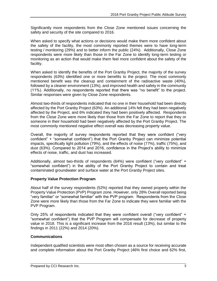Significantly more respondents from the Close Zone mentioned issues concerning the safety and security of the site compared to 2016.

When asked to specify what actions or decisions would make them more confident about the safety of the facility, the most commonly reported themes were to have long-term testing / monitoring (29%) and to better inform the public (24%). Additionally, Close Zone respondents were more likely than those in the Far Zone to identify long-term testing or monitoring as an action that would make them feel more confident about the safety of the facility.

When asked to identify the benefits of the Port Granby Project, the majority of the survey respondents (63%) identified one or more benefits to the project. The most commonly mentioned benefit was the cleanup and containment of the radioactive waste (40%), followed by a cleaner environment (13%), and improved health and safety in the community (11%). Additionally, no respondents reported that there was "no benefit" to the project. Similar responses were given by Close Zone respondents.

Almost two-thirds of respondents indicated that no one in their household had been directly affected by the Port Granby Project (63%). An additional 14% felt they had been negatively affected by the Project, and 6% indicated they had been positively affected. Respondents from the Close Zone were more likely than those from the Far Zone to report that they or someone in their household had been negatively affected by the Port Granby Project. The most commonly mentioned negative effect overall was decreasing property value.

Overall, the majority of survey respondents reported that they were confident ("very confident" + "somewhat confident") that the Port Granby Project can minimize potential impacts, specifically light pollution (79%), and the effects of noise (77%), traffic (75%), and dust (63%). Compared to 2014 and 2016, confidence in the Project's ability to minimize effects of noise, traffic, and dust has increased.

Additionally, almost two-thirds of respondents (64%) were confident ("very confident" + "somewhat confident") in the ability of the Port Granby Project to contain and treat contaminated groundwater and surface water at the Port Granby Project sites.

#### **Property Value Protection Program**

About half of the survey respondents (52%) reported that they owned property within the Property Value Protection (PVP) Program zone. However, only 28% Overall reported being "very familiar" or "somewhat familiar" with the PVP program. Respondents from the Close Zone were more likely than those from the Far Zone to indicate they were familiar with the PVP Program.

Only 25% of respondents indicated that they were confident overall ("very confident" + "somewhat confident") that the PVP Program will compensate for decrease of property value in 2018. This is a significant increase from the 2016 result (13%), but similar to the findings in 2011 (22%) and 2014 (20%).

## **Communications**

Independent qualified scientists were most often chosen as a source for receiving accurate and complete information about the Port Granby Project (46% first choice and 62% first,